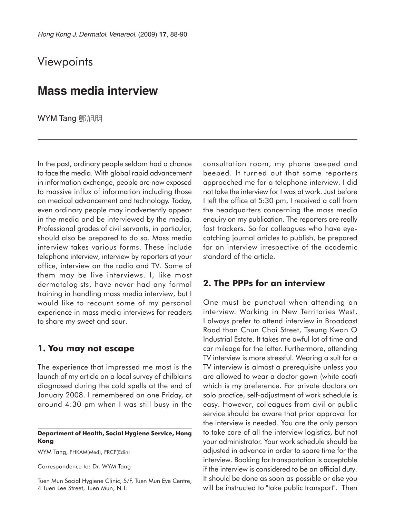# **Viewpoints**

## **Mass media interview**

**WYM Tang** 鄧旭明

In the past, ordinary people seldom had a chance to face the media. With global rapid advancement in information exchange, people are now exposed to massive influx of information including those on medical advancement and technology. Today, even ordinary people may inadvertently appear in the media and be interviewed by the media. Professional grades of civil servants, in particular, should also be prepared to do so. Mass media interview takes various forms. These include telephone interview, interview by reporters at your office, interview on the radio and TV. Some of them may be live interviews. I, like most dermatologists, have never had any formal training in handling mass media interview, but I would like to recount some of my personal experience in mass media interviews for readers to share my sweet and sour.

#### **1. You may not escape**

The experience that impressed me most is the launch of my article on a local survey of chilblains diagnosed during the cold spells at the end of January 2008. I remembered on one Friday, at around 4:30 pm when I was still busy in the

#### **Department of Health, Social Hygiene Service, Hong Kong**

WYM Tang, FHKAM(Med), FRCP(Edin)

Correspondence to: Dr. WYM Tang

Tuen Mun Social Hygiene Clinic, 5/F, Tuen Mun Eye Centre, 4 Tuen Lee Street, Tuen Mun, N.T.

consultation room, my phone beeped and beeped. It turned out that some reporters approached me for a telephone interview. I did not take the interview for I was at work. Just before I left the office at 5:30 pm, I received a call from the headquarters concerning the mass media enquiry on my publication. The reporters are really fast trackers. So for colleagues who have eyecatching journal articles to publish, be prepared for an interview irrespective of the academic standard of the article.

### **2. The PPPs for an interview**

One must be punctual when attending an interview. Working in New Territories West, I always prefer to attend interview in Broadcast Road than Chun Choi Street, Tseung Kwan O Industrial Estate. It takes me awful lot of time and car mileage for the latter. Furthermore, attending TV interview is more stressful. Wearing a suit for a TV interview is almost a prerequisite unless you are allowed to wear a doctor gown (white coat) which is my preference. For private doctors on solo practice, self-adjustment of work schedule is easy. However, colleagues from civil or public service should be aware that prior approval for the interview is needed. You are the only person to take care of all the interview logistics, but not your administrator. Your work schedule should be adjusted in advance in order to spare time for the interview. Booking for transportation is acceptable if the interview is considered to be an official duty. It should be done as soon as possible or else you will be instructed to "take public transport". Then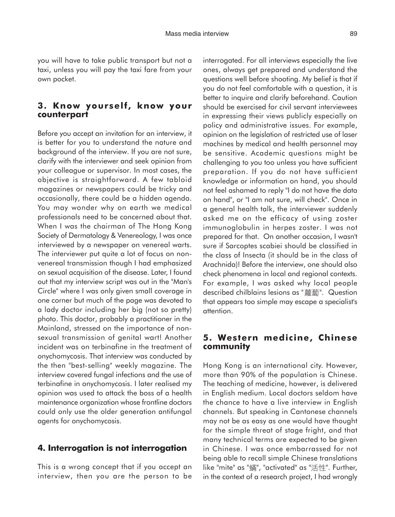you will have to take public transport but not a taxi, unless you will pay the taxi fare from your own pocket.

#### **3. Know yourself, know your counterpart**

Before you accept an invitation for an interview, it is better for you to understand the nature and background of the interview. If you are not sure, clarify with the interviewer and seek opinion from your colleague or supervisor. In most cases, the objective is straightforward. A few tabloid magazines or newspapers could be tricky and occasionally, there could be a hidden agenda. You may wonder why on earth we medical professionals need to be concerned about that. When I was the chairman of The Hong Kong Society of Dermatology & Venereology, I was once interviewed by a newspaper on venereal warts. The interviewer put quite a lot of focus on nonvenereal transmission though I had emphasized on sexual acquisition of the disease. Later, I found out that my interview script was out in the "Man's Circle" where I was only given small coverage in one corner but much of the page was devoted to a lady doctor including her big (not so pretty) photo. This doctor, probably a practitioner in the Mainland, stressed on the importance of nonsexual transmission of genital wart! Another incident was on terbinafine in the treatment of onychomycosis. That interview was conducted by the then "best-selling" weekly magazine. The interview covered fungal infections and the use of terbinafine in onychomycosis. I later realised my opinion was used to attack the boss of a health maintenance organization whose frontline doctors could only use the older generation antifungal agents for onychomycosis.

### **4. Interrogation is not interrogation**

This is a wrong concept that if you accept an interview, then you are the person to be interrogated. For all interviews especially the live ones, always get prepared and understand the questions well before shooting. My belief is that if you do not feel comfortable with a question, it is better to inquire and clarify beforehand. Caution should be exercised for civil servant interviewees in expressing their views publicly especially on policy and administrative issues. For example, opinion on the legislation of restricted use of laser machines by medical and health personnel may be sensitive. Academic questions might be challenging to you too unless you have sufficient preparation. If you do not have sufficient knowledge or information on hand, you should not feel ashamed to reply "I do not have the data on hand", or "I am not sure, will check". Once in a general health talk, the interviewer suddenly asked me on the efficacy of using zoster immunoglobulin in herpes zoster. I was not prepared for that. On another occasion, I wasn't sure if Sarcoptes scabiei should be classified in the class of Insecta (it should be in the class of Arachnida)! Before the interview, one should also check phenomena in local and regional contexts. For example, I was asked why local people described chilblains lesions as "蘿蔔". Question that appears too simple may escape a specialist's attention.

#### **5. Western medicine, Chinese community**

Hong Kong is an international city. However, more than 90% of the population is Chinese. The teaching of medicine, however, is delivered in English medium. Local doctors seldom have the chance to have a live interview in English channels. But speaking in Cantonese channels may not be as easy as one would have thought for the simple threat of stage fright, and that many technical terms are expected to be given in Chinese. I was once embarrassed for not being able to recall simple Chinese translations like "mite" as "蟎", "activated" as "活性". Further, in the context of a research project, I had wrongly